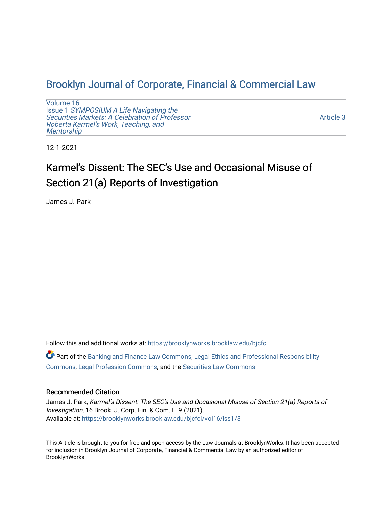# [Brooklyn Journal of Corporate, Financial & Commercial Law](https://brooklynworks.brooklaw.edu/bjcfcl)

[Volume 16](https://brooklynworks.brooklaw.edu/bjcfcl/vol16) Issue 1 [SYMPOSIUM A Life Navigating the](https://brooklynworks.brooklaw.edu/bjcfcl/vol16/iss1) [Securities Markets: A Celebration of Professor](https://brooklynworks.brooklaw.edu/bjcfcl/vol16/iss1) [Roberta Karmel's Work, Teaching, and](https://brooklynworks.brooklaw.edu/bjcfcl/vol16/iss1)  **Mentorship** 

[Article 3](https://brooklynworks.brooklaw.edu/bjcfcl/vol16/iss1/3) 

12-1-2021

# Karmel's Dissent: The SEC's Use and Occasional Misuse of Section 21(a) Reports of Investigation

James J. Park

Follow this and additional works at: [https://brooklynworks.brooklaw.edu/bjcfcl](https://brooklynworks.brooklaw.edu/bjcfcl?utm_source=brooklynworks.brooklaw.edu%2Fbjcfcl%2Fvol16%2Fiss1%2F3&utm_medium=PDF&utm_campaign=PDFCoverPages) Part of the [Banking and Finance Law Commons,](http://network.bepress.com/hgg/discipline/833?utm_source=brooklynworks.brooklaw.edu%2Fbjcfcl%2Fvol16%2Fiss1%2F3&utm_medium=PDF&utm_campaign=PDFCoverPages) [Legal Ethics and Professional Responsibility](http://network.bepress.com/hgg/discipline/895?utm_source=brooklynworks.brooklaw.edu%2Fbjcfcl%2Fvol16%2Fiss1%2F3&utm_medium=PDF&utm_campaign=PDFCoverPages)  [Commons](http://network.bepress.com/hgg/discipline/895?utm_source=brooklynworks.brooklaw.edu%2Fbjcfcl%2Fvol16%2Fiss1%2F3&utm_medium=PDF&utm_campaign=PDFCoverPages), [Legal Profession Commons,](http://network.bepress.com/hgg/discipline/1075?utm_source=brooklynworks.brooklaw.edu%2Fbjcfcl%2Fvol16%2Fiss1%2F3&utm_medium=PDF&utm_campaign=PDFCoverPages) and the [Securities Law Commons](http://network.bepress.com/hgg/discipline/619?utm_source=brooklynworks.brooklaw.edu%2Fbjcfcl%2Fvol16%2Fiss1%2F3&utm_medium=PDF&utm_campaign=PDFCoverPages) 

# Recommended Citation

James J. Park, Karmel's Dissent: The SEC's Use and Occasional Misuse of Section 21(a) Reports of Investigation, 16 Brook. J. Corp. Fin. & Com. L. 9 (2021). Available at: [https://brooklynworks.brooklaw.edu/bjcfcl/vol16/iss1/3](https://brooklynworks.brooklaw.edu/bjcfcl/vol16/iss1/3?utm_source=brooklynworks.brooklaw.edu%2Fbjcfcl%2Fvol16%2Fiss1%2F3&utm_medium=PDF&utm_campaign=PDFCoverPages)

This Article is brought to you for free and open access by the Law Journals at BrooklynWorks. It has been accepted for inclusion in Brooklyn Journal of Corporate, Financial & Commercial Law by an authorized editor of BrooklynWorks.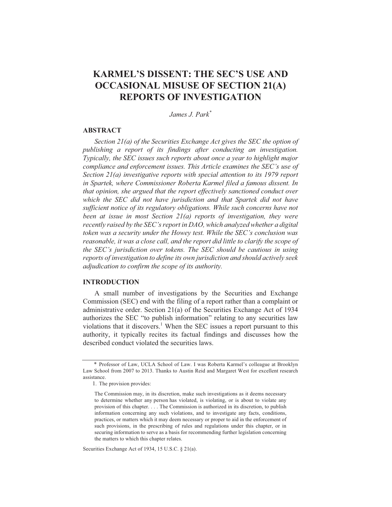# **KARMEL'S DISSENT: THE SEC'S USE AND OCCASIONAL MISUSE OF SECTION 21(A) REPORTS OF INVESTIGATION**

James J. Park<sup>\*</sup>

# **ABSTRACT**

Section  $2I(a)$  of the Securities Exchange Act gives the SEC the option of publishing a report of its findings after conducting an investigation. Typically, the SEC issues such reports about once a year to highlight major compliance and enforcement issues. This Article examines the SEC's use of Section  $2I(a)$  investigative reports with special attention to its 1979 report in Spartek, where Commissioner Roberta Karmel filed a famous dissent. In that opinion, she argued that the report effectively sanctioned conduct over which the SEC did not have jurisdiction and that Spartek did not have sufficient notice of its regulatory obligations. While such concerns have not been at issue in most Section  $2l(a)$  reports of investigation, they were recently raised by the SEC's report in DAO, which analyzed whether a digital token was a security under the Howey test. While the SEC's conclusion was reasonable, it was a close call, and the report did little to clarify the scope of the SEC's jurisdiction over tokens. The SEC should be cautious in using reports of investigation to define its own jurisdiction and should actively seek adjudication to confirm the scope of its authority.

### **INTRODUCTION**

A small number of investigations by the Securities and Exchange Commission (SEC) end with the filing of a report rather than a complaint or administrative order. Section 21(a) of the Securities Exchange Act of 1934 authorizes the SEC "to publish information" relating to any securities law violations that it discovers.<sup>1</sup> When the SEC issues a report pursuant to this authority, it typically recites its factual findings and discusses how the described conduct violated the securities laws.

Securities Exchange Act of 1934, 15 U.S.C. § 21(a).

<sup>\*</sup> Professor of Law, UCLA School of Law. I was Roberta Karmel's colleague at Brooklyn Law School from 2007 to 2013. Thanks to Austin Reid and Margaret West for excellent research assistance.

<sup>1.</sup> The provision provides:

The Commission may, in its discretion, make such investigations as it deems necessary to determine whether any person has violated, is violating, or is about to violate any provision of this chapter. . . . The Commission is authorized in its discretion, to publish information concerning any such violations, and to investigate any facts, conditions, practices, or matters which it may deem necessary or proper to aid in the enforcement of such provisions, in the prescribing of rules and regulations under this chapter, or in securing information to serve as a basis for recommending further legislation concerning the matters to which this chapter relates.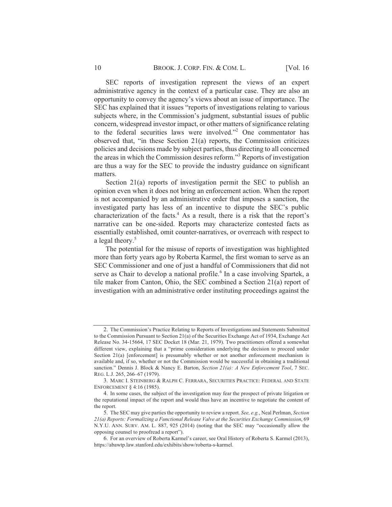SEC reports of investigation represent the views of an expert administrative agency in the context of a particular case. They are also an opportunity to convey the agency's views about an issue of importance. The SEC has explained that it issues "reports of investigations relating to various subjects where, in the Commission's judgment, substantial issues of public concern, widespread investor impact, or other matters of significance relating to the federal securities laws were involved."<sup>2</sup> One commentator has observed that, "in these Section 21(a) reports, the Commission criticizes policies and decisions made by subject parties, thus directing to all concerned the areas in which the Commission desires reform."<sup>3</sup> Reports of investigation are thus a way for the SEC to provide the industry guidance on significant matters.

Section  $21(a)$  reports of investigation permit the SEC to publish an opinion even when it does not bring an enforcement action. When the report is not accompanied by an administrative order that imposes a sanction, the investigated party has less of an incentive to dispute the SEC's public characterization of the facts.<sup>4</sup> As a result, there is a risk that the report's narrative can be one-sided. Reports may characterize contested facts as essentially established, omit counter-narratives, or overreach with respect to a legal theory.<sup>5</sup>

The potential for the misuse of reports of investigation was highlighted more than forty years ago by Roberta Karmel, the first woman to serve as an SEC Commissioner and one of just a handful of Commissioners that did not serve as Chair to develop a national profile.<sup>6</sup> In a case involving Spartek, a tile maker from Canton, Ohio, the SEC combined a Section 21(a) report of investigation with an administrative order instituting proceedings against the

<sup>2.</sup> The Commission's Practice Relating to Reports of Investigations and Statements Submitted to the Commission Pursuant to Section 21(a) of the Securities Exchange Act of 1934, Exchange Act Release No. 34-15664, 17 SEC Docket 18 (Mar. 21, 1979). Two practitioners offered a somewhat different view, explaining that a "prime consideration underlying the decision to proceed under Section  $21(a)$  [enforcement] is presumably whether or not another enforcement mechanism is available and, if so, whether or not the Commission would be successful in obtaining a traditional sanction." Dennis J. Block & Nancy E. Barton, Section 21(a): A New Enforcement Tool, 7 SEC. REG. L.J. 265, 266-67 (1979).

<sup>3.</sup> MARC I. STEINBERG & RALPH C. FERRARA, SECURITIES PRACTICE: FEDERAL AND STATE ENFORCEMENT § 4:16 (1985).

<sup>4.</sup> In some cases, the subject of the investigation may fear the prospect of private litigation or the reputational impact of the report and would thus have an incentive to negotiate the content of the report.

<sup>5.</sup> The SEC may give parties the opportunity to review a report. See, e.g., Neal Perlman, Section 21(a) Reports: Formalizing a Functional Release Valve at the Securities Exchange Commission, 69 N.Y.U. ANN. SURV. AM. L. 887, 925 (2014) (noting that the SEC may "occasionally allow the opposing counsel to proofread a report").

<sup>6.</sup> For an overview of Roberta Karmel's career, see Oral History of Roberta S. Karmel (2013), https://abawtp.law.stanford.edu/exhibits/show/roberta-s-karmel.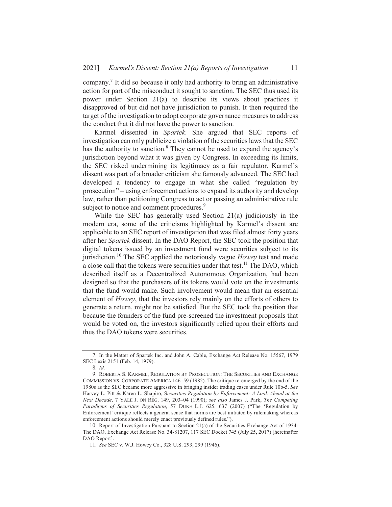company.<sup>7</sup> It did so because it only had authority to bring an administrative action for part of the misconduct it sought to sanction. The SEC thus used its power under Section 21(a) to describe its views about practices it disapproved of but did not have jurisdiction to punish. It then required the target of the investigation to adopt corporate governance measures to address the conduct that it did not have the power to sanction.

Karmel dissented in Spartek. She argued that SEC reports of investigation can only publicize a violation of the securities laws that the SEC has the authority to sanction.<sup>8</sup> They cannot be used to expand the agency's jurisdiction beyond what it was given by Congress. In exceeding its limits, the SEC risked undermining its legitimacy as a fair regulator. Karmel's dissent was part of a broader criticism she famously advanced. The SEC had developed a tendency to engage in what she called "regulation by prosecution" – using enforcement actions to expand its authority and develop law, rather than petitioning Congress to act or passing an administrative rule subject to notice and comment procedures.<sup>9</sup>

While the SEC has generally used Section  $21(a)$  judiciously in the modern era, some of the criticisms highlighted by Karmel's dissent are applicable to an SEC report of investigation that was filed almost forty years after her *Spartek* dissent. In the DAO Report, the SEC took the position that digital tokens issued by an investment fund were securities subject to its jurisdiction.<sup>10</sup> The SEC applied the notoriously vague *Howey* test and made a close call that the tokens were securities under that test.<sup>11</sup> The DAO, which described itself as a Decentralized Autonomous Organization, had been designed so that the purchasers of its tokens would vote on the investments that the fund would make. Such involvement would mean that an essential element of *Howey*, that the investors rely mainly on the efforts of others to generate a return, might not be satisfied. But the SEC took the position that because the founders of the fund pre-screened the investment proposals that would be voted on, the investors significantly relied upon their efforts and thus the DAO tokens were securities.

<sup>7.</sup> In the Matter of Spartek Inc. and John A. Cable, Exchange Act Release No. 15567, 1979 SEC Lexis 2151 (Feb. 14, 1979).

<sup>8.</sup> Id.

<sup>9.</sup> ROBERTA S. KARMEL, REGULATION BY PROSECUTION: THE SECURITIES AND EXCHANGE COMMISSION VS. CORPORATE AMERICA 146-59 (1982). The critique re-emerged by the end of the 1980s as the SEC became more aggressive in bringing insider trading cases under Rule 10b-5. See Harvey L. Pitt & Karen L. Shapiro, Securities Regulation by Enforcement: A Look Ahead at the Next Decade, 7 YALE J. ON REG. 149, 203-04 (1990); see also James J. Park, The Competing Paradigms of Securities Regulation, 57 DUKE L.J. 625, 637 (2007) ("The 'Regulation by Enforcement' critique reflects a general sense that norms are best initiated by rulemaking whereas enforcement actions should merely enact previously defined rules.").

<sup>10.</sup> Report of Investigation Pursuant to Section 21(a) of the Securities Exchange Act of 1934: The DAO, Exchange Act Release No. 34-81207, 117 SEC Docket 745 (July 25, 2017) [hereinafter DAO Report].

<sup>11.</sup> See SEC v. W.J. Howey Co., 328 U.S. 293, 299 (1946).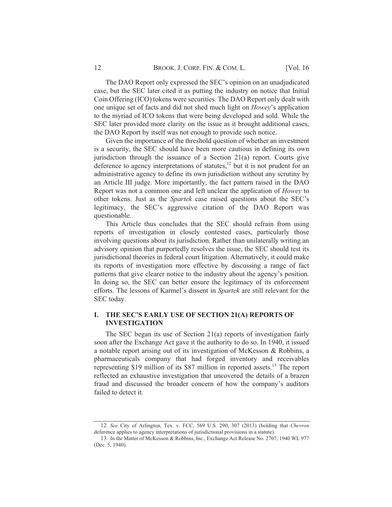**[Vol. 16** 

The DAO Report only expressed the SEC's opinion on an unadjudicated case, but the SEC later cited it as putting the industry on notice that Initial Coin Offering (ICO) tokens were securities. The DAO Report only dealt with one unique set of facts and did not shed much light on *Howey*'s application to the myriad of ICO tokens that were being developed and sold. While the SEC later provided more clarity on the issue as it brought additional cases, the DAO Report by itself was not enough to provide such notice.

Given the importance of the threshold question of whether an investment is a security, the SEC should have been more cautious in defining its own jurisdiction through the issuance of a Section 21(a) report. Courts give deference to agency interpretations of statutes,<sup>12</sup> but it is not prudent for an administrative agency to define its own jurisdiction without any scrutiny by an Article III judge. More importantly, the fact pattern raised in the DAO Report was not a common one and left unclear the application of *Howey* to other tokens. Just as the *Spartek* case raised questions about the SEC's legitimacy, the SEC's aggressive citation of the DAO Report was questionable.

This Article thus concludes that the SEC should refrain from using reports of investigation in closely contested cases, particularly those involving questions about its jurisdiction. Rather than unilaterally writing an advisory opinion that purportedly resolves the issue, the SEC should test its jurisdictional theories in federal court litigation. Alternatively, it could make its reports of investigation more effective by discussing a range of fact patterns that give clearer notice to the industry about the agency's position. In doing so, the SEC can better ensure the legitimacy of its enforcement efforts. The lessons of Karmel's dissent in *Spartek* are still relevant for the SEC today.

# I. THE SEC'S EARLY USE OF SECTION 21(A) REPORTS OF **INVESTIGATION**

The SEC began its use of Section  $21(a)$  reports of investigation fairly soon after the Exchange Act gave it the authority to do so. In 1940, it issued a notable report arising out of its investigation of McKesson & Robbins, a pharmaceuticals company that had forged inventory and receivables representing \$19 million of its \$87 million in reported assets.<sup>13</sup> The report reflected an exhaustive investigation that uncovered the details of a brazen fraud and discussed the broader concern of how the company's auditors failed to detect it.

<sup>12.</sup> See City of Arlington, Tex. v. FCC, 569 U.S. 290, 307 (2013) (holding that Chevron deference applies to agency interpretations of jurisdictional provisions in a statute).

<sup>13.</sup> In the Matter of McKesson & Robbins, Inc., Exchange Act Release No. 2707, 1940 WL 977 (Dec. 5, 1940).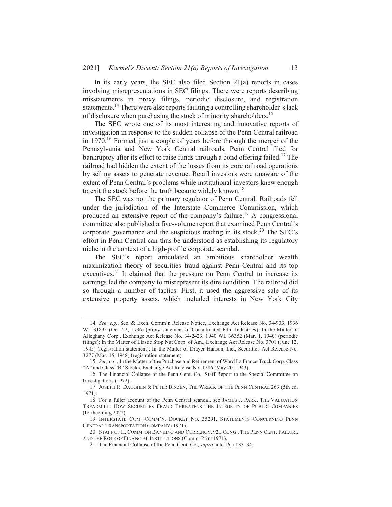In its early years, the SEC also filed Section 21(a) reports in cases involving misrepresentations in SEC filings. There were reports describing misstatements in proxy filings, periodic disclosure, and registration statements.<sup>14</sup> There were also reports faulting a controlling shareholder's lack of disclosure when purchasing the stock of minority shareholders.<sup>15</sup>

The SEC wrote one of its most interesting and innovative reports of investigation in response to the sudden collapse of the Penn Central railroad in 1970.<sup>16</sup> Formed just a couple of years before through the merger of the Pennsylvania and New York Central railroads, Penn Central filed for bankruptcy after its effort to raise funds through a bond offering failed.<sup>17</sup> The railroad had hidden the extent of the losses from its core railroad operations by selling assets to generate revenue. Retail investors were unaware of the extent of Penn Central's problems while institutional investors knew enough to exit the stock before the truth became widely known.<sup>18</sup>

The SEC was not the primary regulator of Penn Central, Railroads fell under the jurisdiction of the Interstate Commerce Commission, which produced an extensive report of the company's failure.<sup>19</sup> A congressional committee also published a five-volume report that examined Penn Central's corporate governance and the suspicious trading in its stock.<sup>20</sup> The SEC's effort in Penn Central can thus be understood as establishing its regulatory niche in the context of a high-profile corporate scandal.

The SEC's report articulated an ambitious shareholder wealth maximization theory of securities fraud against Penn Central and its top executives.<sup>21</sup> It claimed that the pressure on Penn Central to increase its earnings led the company to misrepresent its dire condition. The railroad did so through a number of tactics. First, it used the aggressive sale of its extensive property assets, which included interests in New York City

<sup>14.</sup> See, e.g., Sec. & Exch. Comm'n Release Notice, Exchange Act Release No. 34-903, 1936 WL 31895 (Oct. 22, 1936) (proxy statement of Consolidated Film Industries); In the Matter of Alleghany Corp., Exchange Act Release No. 34-2423, 1940 WL 36352 (Mar. 1, 1940) (periodic filings); In the Matter of Elastic Stop Nut Corp. of Am., Exchange Act Release No. 3701 (June 12, 1945) (registration statement); In the Matter of Drayer-Hanson, Inc., Securities Act Release No. 3277 (Mar. 15, 1948) (registration statement).

<sup>15.</sup> See, e.g., In the Matter of the Purchase and Retirement of Ward La France Truck Corp. Class "A" and Class "B" Stocks, Exchange Act Release No. 1786 (May 20, 1943).

<sup>16.</sup> The Financial Collapse of the Penn Cent. Co., Staff Report to the Special Committee on Investigations (1972).

<sup>17.</sup> JOSEPH R. DAUGHEN & PETER BINZEN, THE WRECK OF THE PENN CENTRAL 263 (5th ed.  $1971$ ).

<sup>18.</sup> For a fuller account of the Penn Central scandal, see JAMES J. PARK, THE VALUATION TREADMILL: HOW SECURITIES FRAUD THREATENS THE INTEGRITY OF PUBLIC COMPANIES (forthcoming 2022).

<sup>19.</sup> INTERSTATE COM. COMM'N, DOCKET NO. 35291, STATEMENTS CONCERNING PENN CENTRAL TRANSPORTATION COMPANY (1971).

<sup>20.</sup> STAFF OF H. COMM. ON BANKING AND CURRENCY, 92D CONG., THE PENN CENT. FAILURE AND THE ROLE OF FINANCIAL INSTITUTIONS (Comm. Print 1971).

<sup>21.</sup> The Financial Collapse of the Penn Cent. Co., *supra* note 16, at 33–34.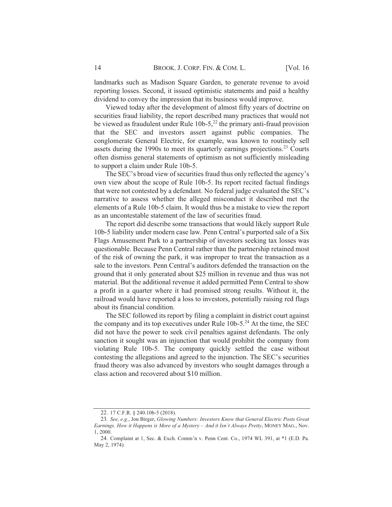landmarks such as Madison Square Garden, to generate revenue to avoid reporting losses. Second, it issued optimistic statements and paid a healthy dividend to convey the impression that its business would improve.

Viewed today after the development of almost fifty years of doctrine on securities fraud liability, the report described many practices that would not be viewed as fraudulent under Rule  $10b-5$ ,<sup>22</sup> the primary anti-fraud provision that the SEC and investors assert against public companies. The conglomerate General Electric, for example, was known to routinely sell assets during the 1990s to meet its quarterly earnings projections.<sup>23</sup> Courts often dismiss general statements of optimism as not sufficiently misleading to support a claim under Rule 10b-5.

The SEC's broad view of securities fraud thus only reflected the agency's own view about the scope of Rule 10b-5. Its report recited factual findings that were not contested by a defendant. No federal judge evaluated the SEC's narrative to assess whether the alleged misconduct it described met the elements of a Rule 10b-5 claim. It would thus be a mistake to view the report as an uncontestable statement of the law of securities fraud.

The report did describe some transactions that would likely support Rule 10b-5 liability under modern case law. Penn Central's purported sale of a Six Flags Amusement Park to a partnership of investors seeking tax losses was questionable. Because Penn Central rather than the partnership retained most of the risk of owning the park, it was improper to treat the transaction as a sale to the investors. Penn Central's auditors defended the transaction on the ground that it only generated about \$25 million in revenue and thus was not material. But the additional revenue it added permitted Penn Central to show a profit in a quarter where it had promised strong results. Without it, the railroad would have reported a loss to investors, potentially raising red flags about its financial condition.

The SEC followed its report by filing a complaint in district court against the company and its top executives under Rule  $10b-5.^{24}$  At the time, the SEC did not have the power to seek civil penalties against defendants. The only sanction it sought was an injunction that would prohibit the company from violating Rule 10b-5. The company quickly settled the case without contesting the allegations and agreed to the injunction. The SEC's securities fraud theory was also advanced by investors who sought damages through a class action and recovered about \$10 million.

<sup>22. 17</sup> C.F.R. § 240.10b-5 (2018).

<sup>23.</sup> See, e.g., Jon Birger, Glowing Numbers: Investors Know that General Electric Posts Great Earnings. How it Happens is More of a Mystery - And it Isn't Always Pretty, MONEY MAG., Nov.  $1,2000$ 

<sup>24.</sup> Complaint at 1, Sec. & Exch. Comm'n v. Penn Cent. Co., 1974 WL 391, at \*1 (E.D. Pa. May 2, 1974).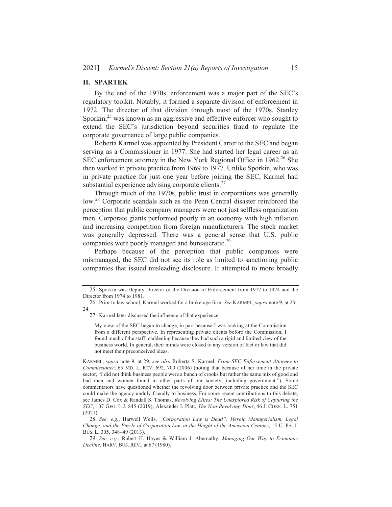#### **II. SPARTEK**

By the end of the 1970s, enforcement was a major part of the SEC's regulatory toolkit. Notably, it formed a separate division of enforcement in 1972. The director of that division through most of the 1970s, Stanley Sporkin,<sup>25</sup> was known as an aggressive and effective enforcer who sought to extend the SEC's jurisdiction beyond securities fraud to regulate the corporate governance of large public companies.

Roberta Karmel was appointed by President Carter to the SEC and began serving as a Commissioner in 1977. She had started her legal career as an SEC enforcement attorney in the New York Regional Office in 1962.<sup>26</sup> She then worked in private practice from 1969 to 1977. Unlike Sporkin, who was in private practice for just one year before joining the SEC, Karmel had substantial experience advising corporate clients.<sup>27</sup>

Through much of the 1970s, public trust in corporations was generally low.<sup>28</sup> Corporate scandals such as the Penn Central disaster reinforced the perception that public company managers were not just selfless organization men. Corporate giants performed poorly in an economy with high inflation and increasing competition from foreign manufacturers. The stock market was generally depressed. There was a general sense that U.S. public companies were poorly managed and bureaucratic.<sup>29</sup>

Perhaps because of the perception that public companies were mismanaged, the SEC did not see its role as limited to sanctioning public companies that issued misleading disclosure. It attempted to more broadly

<sup>25.</sup> Sporkin was Deputy Director of the Division of Enforcement from 1972 to 1974 and the Director from 1974 to 1981.

<sup>26.</sup> Prior to law school, Karmel worked for a brokerage firm. See KARMEL, supra note 9, at 23-24.

<sup>27.</sup> Karmel later discussed the influence of that experience:

My view of the SEC began to change, in part because I was looking at the Commission from a different perspective. In representing private clients before the Commission, I found much of the staff maddening because they had such a rigid and limited view of the business world. In general, their minds were closed to any version of fact or law that did not meet their preconceived ideas.

KARMEL, supra note 9, at 29; see also Roberta S. Karmel, From SEC Enforcement Attorney to Commissioner, 65 MD. L. REV. 692, 700 (2006) (noting that because of her time in the private sector, "I did not think business people were a bunch of crooks but rather the same mix of good and bad men and women found in other parts of our society, including government."). Some commentators have questioned whether the revolving door between private practice and the SEC could make the agency unduly friendly to business. For some recent contributions to this debate, see James D. Cox & Randall S. Thomas, Revolving Elites: The Unexplored Risk of Capturing the SEC, 107 GEO. L.J. 845 (2019); Alexander I. Platt, *The Non-Revolving Door*, 46 J. CORP. L. 751  $(2021).$ 

<sup>28.</sup> See, e.g., Harwell Wells, "Corporation Law is Dead": Heroic Managerialism, Legal Change, and the Puzzle of Corporation Law at the Height of the American Century, 15 U. PA. J. BUS. L. 305, 348-49 (2013).

<sup>29.</sup> See, e.g., Robert H. Hayes & William J. Abernathy, Managing Our Way to Economic Decline, HARV. BUS. REV., at 67 (1980).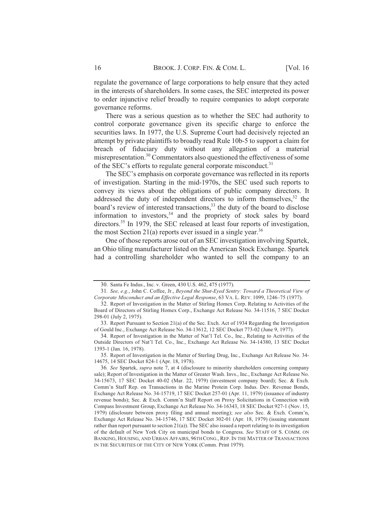regulate the governance of large corporations to help ensure that they acted in the interests of shareholders. In some cases, the SEC interpreted its power to order injunctive relief broadly to require companies to adopt corporate governance reforms.

There was a serious question as to whether the SEC had authority to control corporate governance given its specific charge to enforce the securities laws. In 1977, the U.S. Supreme Court had decisively rejected an attempt by private plaintiffs to broadly read Rule 10b-5 to support a claim for breach of fiduciary duty without any allegation of a material misrepresentation.<sup>30</sup> Commentators also questioned the effectiveness of some of the SEC's efforts to regulate general corporate misconduct.<sup>31</sup>

The SEC's emphasis on corporate governance was reflected in its reports of investigation. Starting in the mid-1970s, the SEC used such reports to convey its views about the obligations of public company directors. It addressed the duty of independent directors to inform themselves,<sup>32</sup> the board's review of interested transactions,<sup>33</sup> the duty of the board to disclose information to investors,<sup>34</sup> and the propriety of stock sales by board directors.<sup>35</sup> In 1979, the SEC released at least four reports of investigation, the most Section 21(a) reports ever issued in a single year.<sup>36</sup>

One of those reports arose out of an SEC investigation involving Spartek, an Ohio tiling manufacturer listed on the American Stock Exchange. Spartek had a controlling shareholder who wanted to sell the company to an

35. Report of Investigation in the Matter of Sterling Drug, Inc., Exchange Act Release No. 34-14675, 14 SEC Docket 824-1 (Apr. 18, 1978).

<sup>30.</sup> Santa Fe Indus., Inc. v. Green, 430 U.S. 462, 475 (1977).

<sup>31.</sup> See, e.g., John C. Coffee, Jr., Beyond the Shut-Eyed Sentry: Toward a Theoretical View of Corporate Misconduct and an Effective Legal Response, 63 VA. L. REV. 1099, 1246-75 (1977).

<sup>32.</sup> Report of Investigation in the Matter of Stirling Homex Corp. Relating to Activities of the Board of Directors of Stirling Homex Corp., Exchange Act Release No. 34-11516, 7 SEC Docket 298-01 (July 2, 1975).

<sup>33.</sup> Report Pursuant to Section 21(a) of the Sec. Exch. Act of 1934 Regarding the Investigation of Gould Inc., Exchange Act Release No. 34-13612, 12 SEC Docket 773-02 (June 9, 1977).

<sup>34.</sup> Report of Investigation in the Matter of Nat'l Tel. Co., Inc., Relating to Activities of the Outside Directors of Nat'l Tel. Co., Inc., Exchange Act Release No. 34-14380, 13 SEC Docket 1393-1 (Jan. 16, 1978).

<sup>36.</sup> See Spartek, *supra* note 7, at 4 (disclosure to minority shareholders concerning company sale); Report of Investigation in the Matter of Greater Wash. Invs., Inc., Exchange Act Release No. 34-15673, 17 SEC Docket 40-02 (Mar. 22, 1979) (investment company board); Sec. & Exch. Comm'n Staff Rep. on Transactions in the Marine Protein Corp. Indus. Dev. Revenue Bonds, Exchange Act Release No. 34-15719, 17 SEC Docket 257-01 (Apr. 11, 1979) (issuance of industry revenue bonds); Sec. & Exch. Comm'n Staff Report on Proxy Solicitations in Connection with Compass Investment Group, Exchange Act Release No. 34-16343, 18 SEC Docket 927-1 (Nov. 15, 1979) (disclosure between proxy filing and annual meeting); see also Sec. & Exch. Comm'n, Exchange Act Release No. 34-15746, 17 SEC Docket 302-01 (Apr. 18, 1979) (issuing statement rather than report pursuant to section  $21(a)$ ). The SEC also issued a report relating to its investigation of the default of New York City on municipal bonds to Congress. See STAFF OF S. COMM. ON BANKING, HOUSING, AND URBAN AFFAIRS, 96TH CONG., REP. IN THE MATTER OF TRANSACTIONS IN THE SECURITIES OF THE CITY OF NEW YORK (Comm. Print 1979).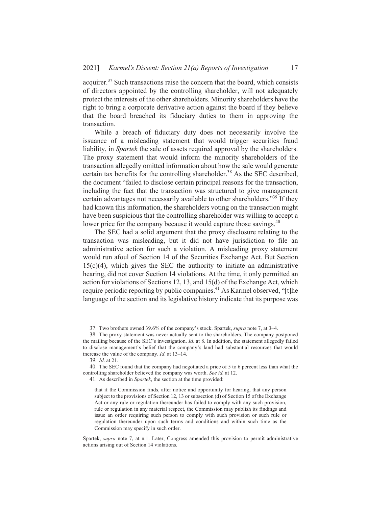acquirer.<sup>37</sup> Such transactions raise the concern that the board, which consists of directors appointed by the controlling shareholder, will not adequately protect the interests of the other shareholders. Minority shareholders have the right to bring a corporate derivative action against the board if they believe that the board breached its fiduciary duties to them in approving the transaction.

While a breach of fiduciary duty does not necessarily involve the issuance of a misleading statement that would trigger securities fraud liability, in *Spartek* the sale of assets required approval by the shareholders. The proxy statement that would inform the minority shareholders of the transaction allegedly omitted information about how the sale would generate certain tax benefits for the controlling shareholder.<sup>38</sup> As the SEC described, the document "failed to disclose certain principal reasons for the transaction, including the fact that the transaction was structured to give management certain advantages not necessarily available to other shareholders."<sup>39</sup> If they had known this information, the shareholders voting on the transaction might have been suspicious that the controlling shareholder was willing to accept a lower price for the company because it would capture those savings.<sup>40</sup>

The SEC had a solid argument that the proxy disclosure relating to the transaction was misleading, but it did not have jurisdiction to file an administrative action for such a violation. A misleading proxy statement would run afoul of Section 14 of the Securities Exchange Act. But Section  $15(c)(4)$ , which gives the SEC the authority to initiate an administrative hearing, did not cover Section 14 violations. At the time, it only permitted an action for violations of Sections 12, 13, and 15(d) of the Exchange Act, which require periodic reporting by public companies.<sup>41</sup> As Karmel observed, "[t]he language of the section and its legislative history indicate that its purpose was

Spartek, supra note 7, at n.1. Later, Congress amended this provision to permit administrative actions arising out of Section 14 violations.

<sup>37.</sup> Two brothers owned 39.6% of the company's stock. Spartek, *supra* note 7, at 3–4.

<sup>38.</sup> The proxy statement was never actually sent to the shareholders. The company postponed the mailing because of the SEC's investigation. Id. at 8. In addition, the statement allegedly failed to disclose management's belief that the company's land had substantial resources that would increase the value of the company. Id. at 13-14.

<sup>39.</sup> Id. at 21.

<sup>40.</sup> The SEC found that the company had negotiated a price of 5 to 6 percent less than what the controlling shareholder believed the company was worth. See id. at 12.

<sup>41.</sup> As described in Spartek, the section at the time provided:

that if the Commission finds, after notice and opportunity for hearing, that any person subject to the provisions of Section 12, 13 or subsection (d) of Section 15 of the Exchange Act or any rule or regulation thereunder has failed to comply with any such provision, rule or regulation in any material respect, the Commission may publish its findings and issue an order requiring such person to comply with such provision or such rule or regulation thereunder upon such terms and conditions and within such time as the Commission may specify in such order.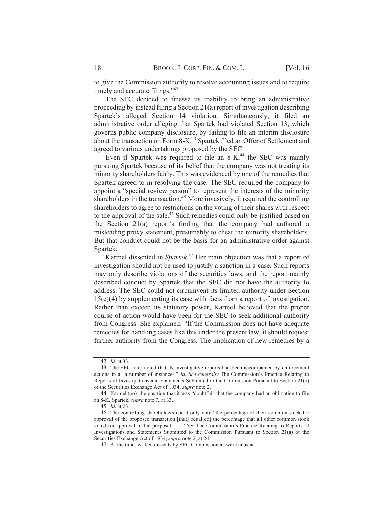to give the Commission authority to resolve accounting issues and to require timely and accurate filings."<sup>42</sup>

The SEC decided to finesse its inability to bring an administrative proceeding by instead filing a Section 21(a) report of investigation describing Spartek's alleged Section 14 violation. Simultaneously, it filed an administrative order alleging that Spartek had violated Section 13, which governs public company disclosure, by failing to file an interim disclosure about the transaction on Form 8-K.<sup>43</sup> Spartek filed an Offer of Settlement and agreed to various undertakings proposed by the SEC.

Even if Spartek was required to file an 8-K,<sup>44</sup> the SEC was mainly pursuing Spartek because of its belief that the company was not treating its minority shareholders fairly. This was evidenced by one of the remedies that Spartek agreed to in resolving the case. The SEC required the company to appoint a "special review person" to represent the interests of the minority shareholders in the transaction.<sup>45</sup> More invasively, it required the controlling shareholders to agree to restrictions on the voting of their shares with respect to the approval of the sale.<sup>46</sup> Such remedies could only be justified based on the Section 21(a) report's finding that the company had authored a misleading proxy statement, presumably to cheat the minority shareholders. But that conduct could not be the basis for an administrative order against Spartek.

Karmel dissented in Spartek.<sup>47</sup> Her main objection was that a report of investigation should not be used to justify a sanction in a case. Such reports may only describe violations of the securities laws, and the report mainly described conduct by Spartek that the SEC did not have the authority to address. The SEC could not circumvent its limited authority under Section  $15(c)(4)$  by supplementing its case with facts from a report of investigation. Rather than exceed its statutory power, Karmel believed that the proper course of action would have been for the SEC to seek additional authority from Congress. She explained: "If the Commission does not have adequate remedies for handling cases like this under the present law, it should request further authority from the Congress. The implication of new remedies by a

<sup>42.</sup> Id. at 33.

<sup>43.</sup> The SEC later noted that its investigative reports had been accompanied by enforcement actions in a "a number of instances." Id. See generally The Commission's Practice Relating to Reports of Investigations and Statements Submitted to the Commission Pursuant to Section 21(a) of the Securities Exchange Act of 1934, supra note 2.

<sup>44.</sup> Karmel took the position that it was "doubtful" that the company had an obligation to file an 8-K. Spartek, *supra* note 7, at 33.

<sup>45.</sup> *Id.* at 23.

<sup>46.</sup> The controlling shareholders could only vote "the percentage of their common stock for approval of the proposed transaction [that] equal[ed] the percentage that all other common stock voted for approval of the proposal. . . ." See The Commission's Practice Relating to Reports of Investigations and Statements Submitted to the Commission Pursuant to Section 21(a) of the Securities Exchange Act of 1934, supra note 2, at 24.

<sup>47.</sup> At the time, written dissents by SEC Commissioners were unusual.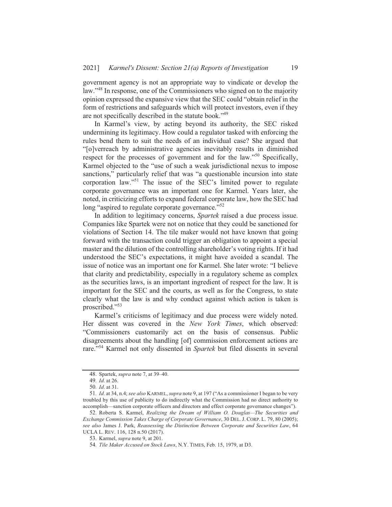government agency is not an appropriate way to vindicate or develop the law."<sup>48</sup> In response, one of the Commissioners who signed on to the majority opinion expressed the expansive view that the SEC could "obtain relief in the form of restrictions and safeguards which will protect investors, even if they are not specifically described in the statute book."<sup>49</sup>

In Karmel's view, by acting beyond its authority, the SEC risked undermining its legitimacy. How could a regulator tasked with enforcing the rules bend them to suit the needs of an individual case? She argued that "[o]verreach by administrative agencies inevitably results in diminished respect for the processes of government and for the law."<sup>50</sup> Specifically, Karmel objected to the "use of such a weak jurisdictional nexus to impose sanctions," particularly relief that was "a questionable incursion into state corporation law."<sup>51</sup> The issue of the SEC's limited power to regulate corporate governance was an important one for Karmel. Years later, she noted, in criticizing efforts to expand federal corporate law, how the SEC had long "aspired to regulate corporate governance."<sup>52</sup>

In addition to legitimacy concerns, Spartek raised a due process issue. Companies like Spartek were not on notice that they could be sanctioned for violations of Section 14. The tile maker would not have known that going forward with the transaction could trigger an obligation to appoint a special master and the dilution of the controlling shareholder's voting rights. If it had understood the SEC's expectations, it might have avoided a scandal. The issue of notice was an important one for Karmel. She later wrote: "I believe that clarity and predictability, especially in a regulatory scheme as complex as the securities laws, is an important ingredient of respect for the law. It is important for the SEC and the courts, as well as for the Congress, to state clearly what the law is and why conduct against which action is taken is proscribed."53

Karmel's criticisms of legitimacy and due process were widely noted. Her dissent was covered in the New York Times, which observed: "Commissioners customarily act on the basis of consensus. Public disagreements about the handling [of] commission enforcement actions are rare."<sup>54</sup> Karmel not only dissented in Spartek but filed dissents in several

<sup>48.</sup> Spartek, *supra* note 7, at 39–40.

<sup>49.</sup> Id. at 26.

<sup>50.</sup> Id. at 31.

<sup>51.</sup> Id. at 34, n.4; see also KARMEL, supra note 9, at 197 ("As a commissioner I began to be very troubled by this use of publicity to do indirectly what the Commission had no direct authority to accomplish—sanction corporate officers and directors and effect corporate governance changes").

<sup>52.</sup> Roberta S. Karmel, Realizing the Dream of William O. Douglas-The Securities and Exchange Commission Takes Charge of Corporate Governance, 30 DEL. J. CORP. L. 79, 80 (2005); see also James J. Park, Reassessing the Distinction Between Corporate and Securities Law, 64 UCLA L. REV. 116, 128 n.50 (2017).

<sup>53.</sup> Karmel, *supra* note 9, at 201.

<sup>54.</sup> Tile Maker Accused on Stock Laws, N.Y. TIMES, Feb. 15, 1979, at D3.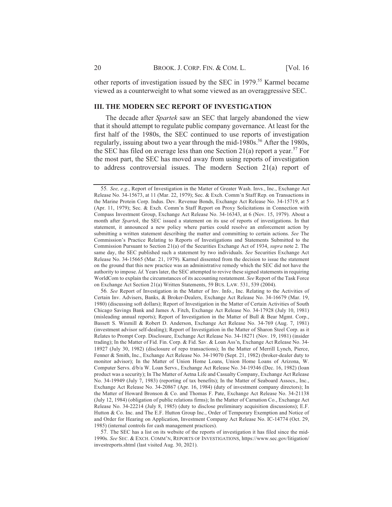other reports of investigation issued by the SEC in 1979.<sup>55</sup> Karmel became viewed as a counterweight to what some viewed as an overaggressive SEC.

#### **III. THE MODERN SEC REPORT OF INVESTIGATION**

The decade after *Spartek* saw an SEC that largely abandoned the view that it should attempt to regulate public company governance. At least for the first half of the 1980s, the SEC continued to use reports of investigation regularly, issuing about two a year through the mid-1980s.<sup>56</sup> After the 1980s, the SEC has filed on average less than one Section 21(a) report a year.<sup>57</sup> For the most part, the SEC has moved away from using reports of investigation to address controversial issues. The modern Section 21(a) report of

56. See Report of Investigation in the Matter of Inv. Info., Inc. Relating to the Activities of Certain Inv. Advisers, Banks, & Broker-Dealers, Exchange Act Release No. 34-16679 (Mar. 19, 1980) (discussing soft dollars); Report of Investigation in the Matter of Certain Activities of South Chicago Savings Bank and James A. Fitch, Exchange Act Release No. 34-17928 (July 10, 1981) (misleading annual reports); Report of Investigation in the Matter of Bull & Bear Mgmt. Corp., Bassett S. Winmill & Robert D. Anderson, Exchange Act Release No. 34-769 (Aug. 7, 1981) (investment advisor self-dealing); Report of Investigation in the Matter of Sharon Steel Corp. as it Relates to Prompt Corp. Disclosure, Exchange Act Release No. 34-18271 (Nov. 19, 1981) (insider trading); In the Matter of Fid. Fin. Corp. & Fid. Sav. & Loan Ass'n, Exchange Act Release No. 34-18927 (July 30, 1982) (disclosure of repo transactions); In the Matter of Merrill Lynch, Pierce, Fenner & Smith, Inc., Exchange Act Release No. 34-19070 (Sept. 21, 1982) (broker-dealer duty to monitor advisor); In the Matter of Union Home Loans, Union Home Loans of Arizona, W. Computer Servs. d/b/a W. Loan Servs., Exchange Act Release No. 34-19346 (Dec. 16, 1982) (loan product was a security); In The Matter of Aetna Life and Casualty Company, Exchange Act Release No. 34-19949 (July 7, 1983) (reporting of tax benefits); In the Matter of Seaboard Assocs., Inc., Exchange Act Release No. 34-20867 (Apr. 16, 1984) (duty of investment company directors); In the Matter of Howard Bronson & Co. and Thomas F. Pate, Exchange Act Release No. 34-21138 (July 12, 1984) (obligation of public relations firms); In the Matter of Carnation Co., Exchange Act Release No. 34-22214 (July 8, 1985) (duty to disclose preliminary acquisition discussions); E.F. Hutton & Co. Inc. and The E.F. Hutton Group Inc., Order of Temporary Exemption and Notice of and Order for Hearing on Application, Investment Company Act Release No. IC-14774 (Oct. 29, 1985) (internal controls for cash management practices).

57. The SEC has a list on its website of the reports of investigation it has filed since the mid-1990s. See SEC. & EXCH. COMM'N, REPORTS OF INVESTIGATIONS, https://www.sec.gov/litigation/ investreports.shtml (last visited Aug. 30, 2021).

<sup>55.</sup> See, e.g., Report of Investigation in the Matter of Greater Wash. Invs., Inc., Exchange Act Release No. 34-15673, at 11 (Mar. 22, 1979); Sec. & Exch. Comm'n Staff Rep. on Transactions in the Marine Protein Corp. Indus. Dev. Revenue Bonds, Exchange Act Release No. 34-15719, at 5 (Apr. 11, 1979); Sec. & Exch. Comm'n Staff Report on Proxy Solicitations in Connection with Compass Investment Group, Exchange Act Release No. 34-16343, at 6 (Nov. 15, 1979). About a month after Spartek, the SEC issued a statement on its use of reports of investigations. In that statement, it announced a new policy where parties could resolve an enforcement action by submitting a written statement describing the matter and committing to certain actions. See The Commission's Practice Relating to Reports of Investigations and Statements Submitted to the Commission Pursuant to Section 21(a) of the Securities Exchange Act of 1934, supra note 2. The same day, the SEC published such a statement by two individuals. See Securities Exchange Act Release No. 34-15665 (Mar. 21, 1979). Karmel dissented from the decision to issue the statement on the ground that this new practice was an administrative remedy which the SEC did not have the authority to impose. Id. Years later, the SEC attempted to revive these signed statements in requiring WorldCom to explain the circumstances of its accounting restatement. See Report of the Task Force on Exchange Act Section 21(a) Written Statements, 59 BUS. LAW. 531, 539 (2004).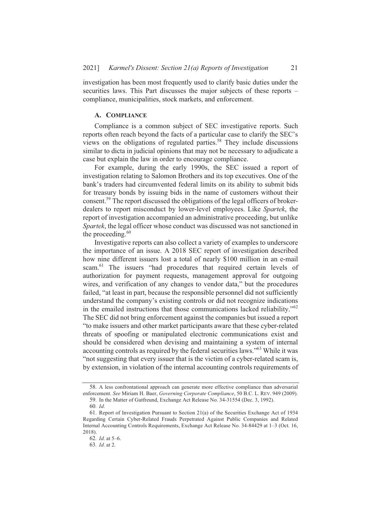investigation has been most frequently used to clarify basic duties under the securities laws. This Part discusses the major subjects of these reports – compliance, municipalities, stock markets, and enforcement.

## A. COMPLIANCE

Compliance is a common subject of SEC investigative reports. Such reports often reach beyond the facts of a particular case to clarify the SEC's views on the obligations of regulated parties.<sup>58</sup> They include discussions similar to dicta in judicial opinions that may not be necessary to adjudicate a case but explain the law in order to encourage compliance.

For example, during the early 1990s, the SEC issued a report of investigation relating to Salomon Brothers and its top executives. One of the bank's traders had circumvented federal limits on its ability to submit bids for treasury bonds by issuing bids in the name of customers without their consent.<sup>59</sup> The report discussed the obligations of the legal officers of brokerdealers to report misconduct by lower-level employees. Like Spartek, the report of investigation accompanied an administrative proceeding, but unlike Spartek, the legal officer whose conduct was discussed was not sanctioned in the proceeding. $60$ 

Investigative reports can also collect a variety of examples to underscore the importance of an issue. A 2018 SEC report of investigation described how nine different issuers lost a total of nearly \$100 million in an e-mail scam.<sup>61</sup> The issuers "had procedures that required certain levels of authorization for payment requests, management approval for outgoing wires, and verification of any changes to vendor data," but the procedures failed, "at least in part, because the responsible personnel did not sufficiently understand the company's existing controls or did not recognize indications in the emailed instructions that those communications lacked reliability."<sup>62</sup> The SEC did not bring enforcement against the companies but issued a report "to make issuers and other market participants aware that these cyber-related threats of spoofing or manipulated electronic communications exist and should be considered when devising and maintaining a system of internal accounting controls as required by the federal securities laws."<sup>63</sup> While it was "not suggesting that every issuer that is the victim of a cyber-related scam is, by extension, in violation of the internal accounting controls requirements of

<sup>58.</sup> A less confrontational approach can generate more effective compliance than adversarial enforcement. See Miriam H. Baer, Governing Corporate Compliance, 50 B.C. L. REV. 949 (2009).

<sup>59.</sup> In the Matter of Gutfreund, Exchange Act Release No. 34-31554 (Dec. 3, 1992).

 $60$   $Id$ 

<sup>61.</sup> Report of Investigation Pursuant to Section 21(a) of the Securities Exchange Act of 1934 Regarding Certain Cyber-Related Frauds Perpetrated Against Public Companies and Related Internal Accounting Controls Requirements, Exchange Act Release No. 34-84429 at 1-3 (Oct. 16,  $2018$ ).

<sup>62.</sup> *Id.* at 5-6.

<sup>63.</sup> Id. at 2.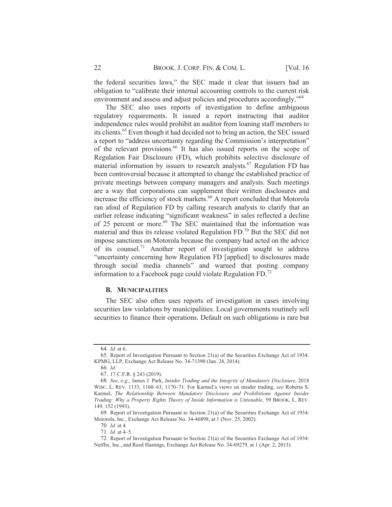the federal securities laws," the SEC made it clear that issuers had an obligation to "calibrate their internal accounting controls to the current risk environment and assess and adjust policies and procedures accordingly."<sup>64</sup>

The SEC also uses reports of investigation to define ambiguous regulatory requirements. It issued a report instructing that auditor independence rules would prohibit an auditor from loaning staff members to its clients.<sup>65</sup> Even though it had decided not to bring an action, the SEC issued a report to "address uncertainty regarding the Commission's interpretation" of the relevant provisions.<sup>66</sup> It has also issued reports on the scope of Regulation Fair Disclosure (FD), which prohibits selective disclosure of material information by issuers to research analysts.<sup>67</sup> Regulation FD has been controversial because it attempted to change the established practice of private meetings between company managers and analysts. Such meetings are a way that corporations can supplement their written disclosures and increase the efficiency of stock markets.<sup>68</sup> A report concluded that Motorola ran afoul of Regulation FD by calling research analysts to clarify that an earlier release indicating "significant weakness" in sales reflected a decline<br>of 25 percent or more.<sup>69</sup> The SEC maintained that the information was material and thus its release violated Regulation  $FD<sup>70</sup>$  But the SEC did not impose sanctions on Motorola because the company had acted on the advice of its counsel.<sup>71</sup> Another report of investigation sought to address "uncertainty concerning how Regulation FD [applied] to disclosures made through social media channels" and warned that posting company information to a Facebook page could violate Regulation FD. $^{72}$ 

#### **B. MUNICIPALITIES**

The SEC also often uses reports of investigation in cases involving securities law violations by municipalities. Local governments routinely sell securities to finance their operations. Default on such obligations is rare but

 $64$  *Id.* at 6.

<sup>65.</sup> Report of Investigation Pursuant to Section 21(a) of the Securities Exchange Act of 1934: KPMG, LLP, Exchange Act Release No. 34-71390 (Jan. 24, 2014).

<sup>66.</sup> Id.

<sup>67. 17</sup> C.F.R. § 243 (2019).

<sup>68.</sup> See, e.g., James J. Park, Insider Trading and the Integrity of Mandatory Disclosure, 2018 WISC. L. REV. 1133, 1160–63, 1170–71. For Karmel's views on insider trading, see Roberta S. Karmel, The Relationship Between Mandatory Disclosure and Prohibitions Against Insider Trading: Why a Property Rights Theory of Inside Information is Untenable, 59 BROOK. L. REV. 149, 152 (1993).

<sup>69.</sup> Report of Investigation Pursuant to Section 21(a) of the Securities Exchange Act of 1934: Motorola, Inc., Exchange Act Release No. 34-46898, at 1 (Nov. 25, 2002).

<sup>70.</sup> Id. at 4. 71. Id. at 4-5.

<sup>72.</sup> Report of Investigation Pursuant to Section 21(a) of the Securities Exchange Act of 1934: Netflix, Inc., and Reed Hastings, Exchange Act Release No. 34-69279, at 1 (Apr. 2, 2013).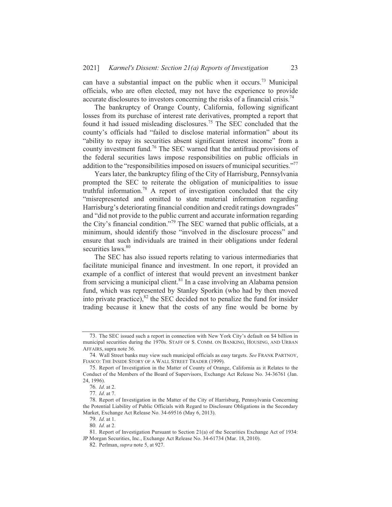can have a substantial impact on the public when it occurs.<sup>73</sup> Municipal officials, who are often elected, may not have the experience to provide accurate disclosures to investors concerning the risks of a financial crisis.<sup>74</sup>

The bankruptcy of Orange County, California, following significant losses from its purchase of interest rate derivatives, prompted a report that found it had issued misleading disclosures.<sup>75</sup> The SEC concluded that the county's officials had "failed to disclose material information" about its "ability to repay its securities absent significant interest income" from a county investment fund.<sup>76</sup> The SEC warned that the antifraud provisions of the federal securities laws impose responsibilities on public officials in addition to the "responsibilities imposed on issuers of municipal securities."<sup>77</sup>

Years later, the bankruptcy filing of the City of Harrisburg, Pennsylvania prompted the SEC to reiterate the obligation of municipalities to issue truthful information.<sup>78</sup> A report of investigation concluded that the city "misrepresented and omitted to state material information regarding Harrisburg's deteriorating financial condition and credit ratings downgrades" and "did not provide to the public current and accurate information regarding the City's financial condition."<sup>79</sup> The SEC warned that public officials, at a minimum, should identify those "involved in the disclosure process" and ensure that such individuals are trained in their obligations under federal securities laws.<sup>80</sup>

The SEC has also issued reports relating to various intermediaries that facilitate municipal finance and investment. In one report, it provided an example of a conflict of interest that would prevent an investment banker from servicing a municipal client.<sup>81</sup> In a case involving an Alabama pension fund, which was represented by Stanley Sporkin (who had by then moved into private practice), ${}^{82}$  the SEC decided not to penalize the fund for insider trading because it knew that the costs of any fine would be borne by

<sup>73.</sup> The SEC issued such a report in connection with New York City's default on \$4 billion in municipal securities during the 1970s. STAFF OF S. COMM. ON BANKING, HOUSING, AND URBAN AFFAIRS, supra note 36.

<sup>74.</sup> Wall Street banks may view such municipal officials as easy targets. See FRANK PARTNOY, FIASCO: THE INSIDE STORY OF A WALL STREET TRADER (1999).

<sup>75.</sup> Report of Investigation in the Matter of County of Orange, California as it Relates to the Conduct of the Members of the Board of Supervisors, Exchange Act Release No. 34-36761 (Jan. 24, 1996).

<sup>76.</sup> Id. at 2.

<sup>77.</sup> Id. at 7.

<sup>78.</sup> Report of Investigation in the Matter of the City of Harrisburg, Pennsylvania Concerning the Potential Liability of Public Officials with Regard to Disclosure Obligations in the Secondary Market, Exchange Act Release No. 34-69516 (May 6, 2013).

<sup>79.</sup> Id. at 1.

<sup>80.</sup> Id. at 2.

<sup>81.</sup> Report of Investigation Pursuant to Section 21(a) of the Securities Exchange Act of 1934: JP Morgan Securities, Inc., Exchange Act Release No. 34-61734 (Mar. 18, 2010).

<sup>82.</sup> Perlman, *supra* note 5, at 927.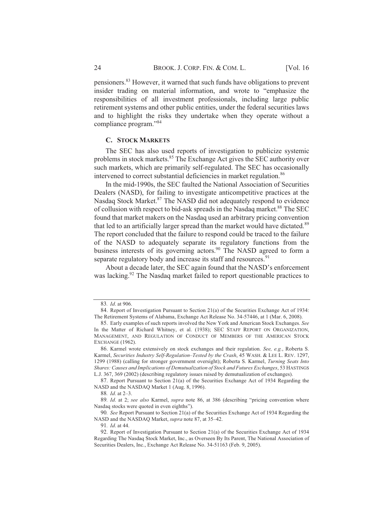**[Vol. 16** 

pensioners.<sup>83</sup> However, it warned that such funds have obligations to prevent insider trading on material information, and wrote to "emphasize the responsibilities of all investment professionals, including large public retirement systems and other public entities, under the federal securities laws and to highlight the risks they undertake when they operate without a compliance program."<sup>84</sup>

#### **C. STOCK MARKETS**

The SEC has also used reports of investigation to publicize systemic problems in stock markets.<sup>85</sup> The Exchange Act gives the SEC authority over such markets, which are primarily self-regulated. The SEC has occasionally intervened to correct substantial deficiencies in market regulation.<sup>86</sup>

In the mid-1990s, the SEC faulted the National Association of Securities Dealers (NASD), for failing to investigate anticompetitive practices at the Nasdaq Stock Market.<sup>87</sup> The NASD did not adequately respond to evidence of collusion with respect to bid-ask spreads in the Nasdaq market.<sup>88</sup> The SEC found that market makers on the Nasdaq used an arbitrary pricing convention that led to an artificially larger spread than the market would have dictated.<sup>89</sup> The report concluded that the failure to respond could be traced to the failure of the NASD to adequately separate its regulatory functions from the business interests of its governing actors.<sup>90</sup> The NASD agreed to form a separate regulatory body and increase its staff and resources.<sup>91</sup>

About a decade later, the SEC again found that the NASD's enforcement was lacking.<sup>92</sup> The Nasdag market failed to report questionable practices to

<sup>83.</sup> Id. at 906.

<sup>84.</sup> Report of Investigation Pursuant to Section 21(a) of the Securities Exchange Act of 1934: The Retirement Systems of Alabama, Exchange Act Release No. 34-57446, at 1 (Mar. 6, 2008).

<sup>85.</sup> Early examples of such reports involved the New York and American Stock Exchanges. See In the Matter of Richard Whitney, et al. (1938); SEC STAFF REPORT ON ORGANIZATION, MANAGEMENT, AND REGULATION OF CONDUCT OF MEMBERS OF THE AMERICAN STOCK EXCHANGE (1962).

<sup>86.</sup> Karmel wrote extensively on stock exchanges and their regulation. See, e.g., Roberta S. Karmel, Securities Industry Self-Regulation-Tested by the Crash, 45 WASH. & LEE L. REV. 1297, 1299 (1988) (calling for stronger government oversight); Roberta S. Karmel, Turning Seats Into Shares: Causes and Implications of Demutualization of Stock and Futures Exchanges, 53 HASTINGS L.J. 367, 369 (2002) (describing regulatory issues raised by demutualization of exchanges).

<sup>87.</sup> Report Pursuant to Section 21(a) of the Securities Exchange Act of 1934 Regarding the NASD and the NASDAQ Market 1 (Aug. 8, 1996).

<sup>88.</sup> Id. at 2-3.

<sup>89.</sup> Id. at 2; see also Karmel, supra note 86, at 386 (describing "pricing convention where Nasdaq stocks were quoted in even eighths").

<sup>90.</sup> See Report Pursuant to Section 21(a) of the Securities Exchange Act of 1934 Regarding the NASD and the NASDAQ Market, supra note 87, at 35-42.

<sup>91.</sup> Id. at 44.

<sup>92.</sup> Report of Investigation Pursuant to Section 21(a) of the Securities Exchange Act of 1934 Regarding The Nasdaq Stock Market, Inc., as Overseen By Its Parent, The National Association of Securities Dealers, Inc., Exchange Act Release No. 34-51163 (Feb. 9, 2005).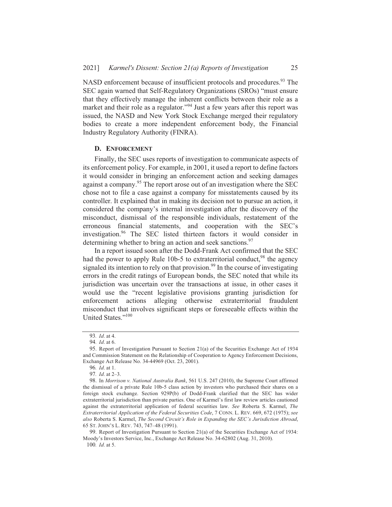NASD enforcement because of insufficient protocols and procedures.<sup>93</sup> The SEC again warned that Self-Regulatory Organizations (SROs) "must ensure that they effectively manage the inherent conflicts between their role as a market and their role as a regulator."<sup>94</sup> Just a few years after this report was issued, the NASD and New York Stock Exchange merged their regulatory bodies to create a more independent enforcement body, the Financial Industry Regulatory Authority (FINRA).

#### D. ENFORCEMENT

Finally, the SEC uses reports of investigation to communicate aspects of its enforcement policy. For example, in 2001, it used a report to define factors it would consider in bringing an enforcement action and seeking damages against a company.<sup>95</sup> The report arose out of an investigation where the SEC chose not to file a case against a company for misstatements caused by its controller. It explained that in making its decision not to pursue an action, it considered the company's internal investigation after the discovery of the misconduct, dismissal of the responsible individuals, restatement of the erroneous financial statements, and cooperation with the SEC's investigation.<sup>96</sup> The SEC listed thirteen factors it would consider in determining whether to bring an action and seek sanctions.<sup>97</sup>

In a report issued soon after the Dodd-Frank Act confirmed that the SEC had the power to apply Rule 10b-5 to extraterritorial conduct,<sup>98</sup> the agency signaled its intention to rely on that provision.<sup>99</sup> In the course of investigating errors in the credit ratings of European bonds, the SEC noted that while its jurisdiction was uncertain over the transactions at issue, in other cases it would use the "recent legislative provisions granting jurisdiction for enforcement actions alleging otherwise extraterritorial fraudulent misconduct that involves significant steps or foreseeable effects within the United States."<sup>100</sup>

<sup>93.</sup> Id. at 4.

<sup>94.</sup> Id. at 6.

<sup>95.</sup> Report of Investigation Pursuant to Section 21(a) of the Securities Exchange Act of 1934 and Commission Statement on the Relationship of Cooperation to Agency Enforcement Decisions, Exchange Act Release No. 34-44969 (Oct. 23, 2001).

<sup>96.</sup> Id. at 1.

<sup>97.</sup> *Id.* at  $2-3$ .

<sup>98.</sup> In Morrison v. National Australia Bank, 561 U.S. 247 (2010), the Supreme Court affirmed the dismissal of a private Rule 10b-5 class action by investors who purchased their shares on a foreign stock exchange. Section 929P(b) of Dodd-Frank clarified that the SEC has wider extraterritorial jurisdiction than private parties. One of Karmel's first law review articles cautioned against the extraterritorial application of federal securities law. See Roberta S. Karmel, The Extraterritorial Application of the Federal Securities Code, 7 CONN. L. REV. 669, 672 (1975); see also Roberta S. Karmel, The Second Circuit's Role in Expanding the SEC's Jurisdiction Abroad, 65 ST. JOHN'S L. REV. 743, 747-48 (1991).

<sup>99.</sup> Report of Investigation Pursuant to Section 21(a) of the Securities Exchange Act of 1934: Moody's Investors Service, Inc., Exchange Act Release No. 34-62802 (Aug. 31, 2010). 100. Id. at 5.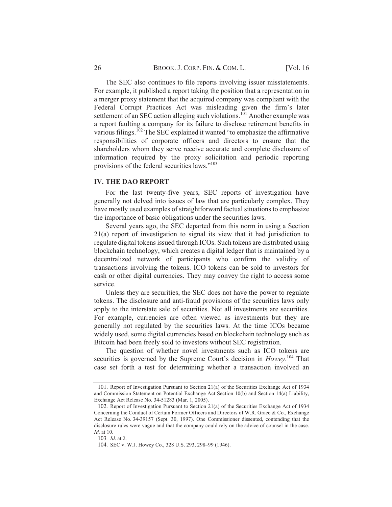The SEC also continues to file reports involving issuer misstatements. For example, it published a report taking the position that a representation in a merger proxy statement that the acquired company was compliant with the Federal Corrupt Practices Act was misleading given the firm's later settlement of an SEC action alleging such violations.<sup>101</sup> Another example was a report faulting a company for its failure to disclose retirement benefits in various filings.<sup>102</sup> The SEC explained it wanted "to emphasize the affirmative responsibilities of corporate officers and directors to ensure that the shareholders whom they serve receive accurate and complete disclosure of information required by the proxy solicitation and periodic reporting provisions of the federal securities laws."<sup>103</sup>

#### **IV. THE DAO REPORT**

For the last twenty-five years, SEC reports of investigation have generally not delved into issues of law that are particularly complex. They have mostly used examples of straightforward factual situations to emphasize the importance of basic obligations under the securities laws.

Several years ago, the SEC departed from this norm in using a Section 21(a) report of investigation to signal its view that it had jurisdiction to regulate digital tokens issued through ICOs. Such tokens are distributed using blockchain technology, which creates a digital ledger that is maintained by a decentralized network of participants who confirm the validity of transactions involving the tokens. ICO tokens can be sold to investors for cash or other digital currencies. They may convey the right to access some service.

Unless they are securities, the SEC does not have the power to regulate tokens. The disclosure and anti-fraud provisions of the securities laws only apply to the interstate sale of securities. Not all investments are securities. For example, currencies are often viewed as investments but they are generally not regulated by the securities laws. At the time ICOs became widely used, some digital currencies based on blockchain technology such as Bitcoin had been freely sold to investors without SEC registration.

The question of whether novel investments such as ICO tokens are securities is governed by the Supreme Court's decision in Howey.<sup>104</sup> That case set forth a test for determining whether a transaction involved an

<sup>101.</sup> Report of Investigation Pursuant to Section 21(a) of the Securities Exchange Act of 1934 and Commission Statement on Potential Exchange Act Section 10(b) and Section 14(a) Liability, Exchange Act Release No. 34-51283 (Mar. 1, 2005).

<sup>102.</sup> Report of Investigation Pursuant to Section 21(a) of the Securities Exchange Act of 1934 Concerning the Conduct of Certain Former Officers and Directors of W.R. Grace & Co., Exchange Act Release No. 34-39157 (Sept. 30, 1997). One Commissioner dissented, contending that the disclosure rules were vague and that the company could rely on the advice of counsel in the case. Id. at 10.

<sup>103.</sup> *Id.* at 2.

<sup>104.</sup> SEC v. W.J. Howey Co., 328 U.S. 293, 298-99 (1946).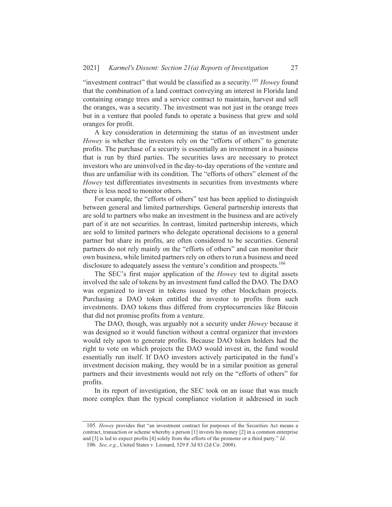"investment contract" that would be classified as a security.<sup>105</sup> Howey found that the combination of a land contract conveying an interest in Florida land containing orange trees and a service contract to maintain, harvest and sell the oranges, was a security. The investment was not just in the orange trees but in a venture that pooled funds to operate a business that grew and sold oranges for profit.

A key consideration in determining the status of an investment under Howey is whether the investors rely on the "efforts of others" to generate profits. The purchase of a security is essentially an investment in a business that is run by third parties. The securities laws are necessary to protect investors who are uninvolved in the day-to-day operations of the venture and thus are unfamiliar with its condition. The "efforts of others" element of the *Howev* test differentiates investments in securities from investments where there is less need to monitor others.

For example, the "efforts of others" test has been applied to distinguish between general and limited partnerships. General partnership interests that are sold to partners who make an investment in the business and are actively part of it are not securities. In contrast, limited partnership interests, which are sold to limited partners who delegate operational decisions to a general partner but share its profits, are often considered to be securities. General partners do not rely mainly on the "efforts of others" and can monitor their own business, while limited partners rely on others to run a business and need disclosure to adequately assess the venture's condition and prospects.<sup>106</sup>

The SEC's first major application of the *Howey* test to digital assets involved the sale of tokens by an investment fund called the DAO. The DAO was organized to invest in tokens issued by other blockchain projects. Purchasing a DAO token entitled the investor to profits from such investments. DAO tokens thus differed from cryptocurrencies like Bitcoin that did not promise profits from a venture.

The DAO, though, was arguably not a security under *Howey* because it was designed so it would function without a central organizer that investors would rely upon to generate profits. Because DAO token holders had the right to vote on which projects the DAO would invest in, the fund would essentially run itself. If DAO investors actively participated in the fund's investment decision making, they would be in a similar position as general partners and their investments would not rely on the "efforts of others" for profits.

In its report of investigation, the SEC took on an issue that was much more complex than the typical compliance violation it addressed in such

<sup>105.</sup> Howey provides that "an investment contract for purposes of the Securities Act means a contract, transaction or scheme whereby a person [1] invests his money [2] in a common enterprise and [3] is led to expect profits [4] solely from the efforts of the promoter or a third party." Id.

<sup>106.</sup> See, e.g., United States v. Leonard, 529 F.3d 83 (2d Cir. 2008).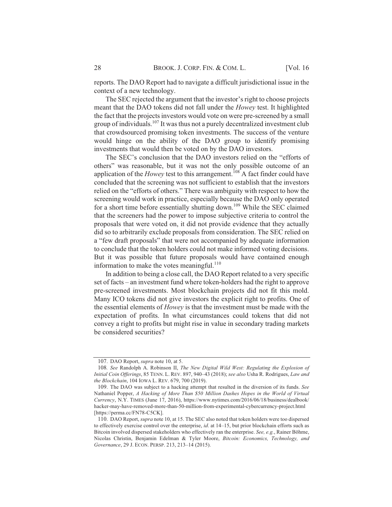reports. The DAO Report had to navigate a difficult jurisdictional issue in the context of a new technology.

The SEC rejected the argument that the investor's right to choose projects meant that the DAO tokens did not fall under the *Howey* test. It highlighted the fact that the projects investors would vote on were pre-screened by a small group of individuals.<sup>107</sup> It was thus not a purely decentralized investment club that crowdsourced promising token investments. The success of the venture would hinge on the ability of the DAO group to identify promising investments that would then be voted on by the DAO investors.

The SEC's conclusion that the DAO investors relied on the "efforts of others" was reasonable, but it was not the only possible outcome of an application of the *Howey* test to this arrangement.<sup>108</sup> A fact finder could have concluded that the screening was not sufficient to establish that the investors relied on the "efforts of others." There was ambiguity with respect to how the screening would work in practice, especially because the DAO only operated for a short time before essentially shutting down.<sup>109</sup> While the SEC claimed that the screeners had the power to impose subjective criteria to control the proposals that were voted on, it did not provide evidence that they actually did so to arbitrarily exclude proposals from consideration. The SEC relied on a "few draft proposals" that were not accompanied by adequate information to conclude that the token holders could not make informed voting decisions. But it was possible that future proposals would have contained enough information to make the votes meaningful.<sup>110</sup>

In addition to being a close call, the DAO Report related to a very specific set of facts – an investment fund where token-holders had the right to approve pre-screened investments. Most blockchain projects did not fit this mold. Many ICO tokens did not give investors the explicit right to profits. One of the essential elements of *Howey* is that the investment must be made with the expectation of profits. In what circumstances could tokens that did not convey a right to profits but might rise in value in secondary trading markets be considered securities?

<sup>107.</sup> DAO Report, *supra* note 10, at 5.

<sup>108.</sup> See Randolph A. Robinson II, The New Digital Wild West: Regulating the Explosion of Initial Coin Offerings, 85 TENN. L. REV. 897, 940-43 (2018); see also Usha R. Rodrigues, Law and the Blockchain, 104 IOWA L. REV. 679, 700 (2019).

<sup>109.</sup> The DAO was subject to a hacking attempt that resulted in the diversion of its funds. See Nathaniel Popper, A Hacking of More Than \$50 Million Dashes Hopes in the World of Virtual Currency, N.Y. TIMES (June 17, 2016), https://www.nytimes.com/2016/06/18/business/dealbook/ hacker-may-have-removed-more-than-50-million-from-experimental-cybercurrency-project.html [https://perma.cc/FN78-C5CK].

<sup>110.</sup> DAO Report, *supra* note 10, at 15. The SEC also noted that token holders were too dispersed to effectively exercise control over the enterprise, id. at 14-15, but prior blockchain efforts such as Bitcoin involved dispersed stakeholders who effectively ran the enterprise. See, e.g., Rainer Böhme, Nicolas Christin, Benjamin Edelman & Tyler Moore, Bitcoin: Economics, Technology, and Governance, 29 J. ECON. PERSP. 213, 213-14 (2015).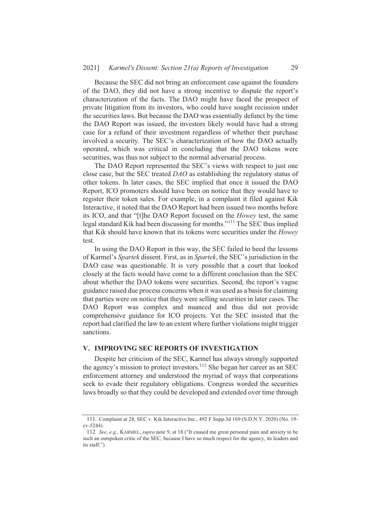Because the SEC did not bring an enforcement case against the founders of the DAO, they did not have a strong incentive to dispute the report's characterization of the facts. The DAO might have faced the prospect of private litigation from its investors, who could have sought recission under the securities laws. But because the DAO was essentially defunct by the time the DAO Report was issued, the investors likely would have had a strong case for a refund of their investment regardless of whether their purchase involved a security. The SEC's characterization of how the DAO actually operated, which was critical in concluding that the DAO tokens were securities, was thus not subject to the normal adversarial process.

The DAO Report represented the SEC's views with respect to just one close case, but the SEC treated DAO as establishing the regulatory status of other tokens. In later cases, the SEC implied that once it issued the DAO Report, ICO promoters should have been on notice that they would have to register their token sales. For example, in a complaint it filed against Kik Interactive, it noted that the DAO Report had been issued two months before its ICO, and that "[t]he DAO Report focused on the *Howey* test, the same legal standard Kik had been discussing for months."<sup>111</sup> The SEC thus implied that Kik should have known that its tokens were securities under the Howey test.

In using the DAO Report in this way, the SEC failed to heed the lessons of Karmel's Spartek dissent. First, as in Spartek, the SEC's jurisdiction in the DAO case was questionable. It is very possible that a court that looked closely at the facts would have come to a different conclusion than the SEC about whether the DAO tokens were securities. Second, the report's vague guidance raised due process concerns when it was used as a basis for claiming that parties were on notice that they were selling securities in later cases. The DAO Report was complex and nuanced and thus did not provide comprehensive guidance for ICO projects. Yet the SEC insisted that the report had clarified the law to an extent where further violations might trigger sanctions.

## V. IMPROVING SEC REPORTS OF INVESTIGATION

Despite her criticism of the SEC, Karmel has always strongly supported the agency's mission to protect investors.<sup>112</sup> She began her career as an SEC enforcement attorney and understood the myriad of ways that corporations seek to evade their regulatory obligations. Congress worded the securities laws broadly so that they could be developed and extended over time through

<sup>111.</sup> Complaint at 28, SEC v. Kik Interactive Inc., 492 F.Supp.3d 169 (S.D.N.Y. 2020) (No. 19cv-5244).

<sup>112.</sup> See, e.g., KARMEL, supra note 9, at 18 ("It caused me great personal pain and anxiety to be such an outspoken critic of the SEC, because I have so much respect for the agency, its leaders and its staff.").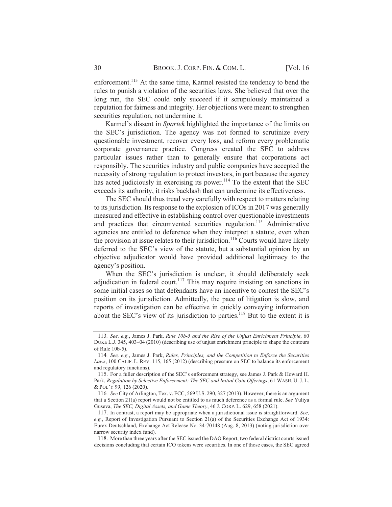enforcement.<sup>113</sup> At the same time, Karmel resisted the tendency to bend the rules to punish a violation of the securities laws. She believed that over the long run, the SEC could only succeed if it scrupulously maintained a reputation for fairness and integrity. Her objections were meant to strengthen securities regulation, not undermine it.

Karmel's dissent in *Spartek* highlighted the importance of the limits on the SEC's jurisdiction. The agency was not formed to scrutinize every questionable investment, recover every loss, and reform every problematic corporate governance practice. Congress created the SEC to address particular issues rather than to generally ensure that corporations act responsibly. The securities industry and public companies have accepted the necessity of strong regulation to protect investors, in part because the agency has acted judiciously in exercising its power.<sup>114</sup> To the extent that the SEC exceeds its authority, it risks backlash that can undermine its effectiveness.

The SEC should thus tread very carefully with respect to matters relating to its jurisdiction. Its response to the explosion of ICOs in 2017 was generally measured and effective in establishing control over questionable investments and practices that circumvented securities regulation.<sup>115</sup> Administrative agencies are entitled to deference when they interpret a statute, even when the provision at issue relates to their jurisdiction.<sup>116</sup> Courts would have likely deferred to the SEC's view of the statute, but a substantial opinion by an objective adjudicator would have provided additional legitimacy to the agency's position.

When the SEC's jurisdiction is unclear, it should deliberately seek adjudication in federal court.<sup>117</sup> This may require insisting on sanctions in some initial cases so that defendants have an incentive to contest the SEC's position on its jurisdiction. Admittedly, the pace of litigation is slow, and reports of investigation can be effective in quickly conveying information about the SEC's view of its jurisdiction to parties.<sup>118</sup> But to the extent it is

<sup>113.</sup> See, e.g., James J. Park, Rule 10b-5 and the Rise of the Unjust Enrichment Principle, 60 DUKE L.J. 345, 403–04 (2010) (describing use of unjust enrichment principle to shape the contours of Rule 10b-5).

<sup>114.</sup> See, e.g., James J. Park, Rules, Principles, and the Competition to Enforce the Securities Laws, 100 CALIF. L. REV. 115, 165 (2012) (describing pressure on SEC to balance its enforcement and regulatory functions).

<sup>115.</sup> For a fuller description of the SEC's enforcement strategy, see James J. Park & Howard H. Park, Regulation by Selective Enforcement: The SEC and Initial Coin Offerings, 61 WASH. U. J. L. & POL'Y 99, 126 (2020).

<sup>116.</sup> See City of Arlington, Tex. v. FCC, 569 U.S. 290, 327 (2013). However, there is an argument that a Section 21(a) report would not be entitled to as much deference as a formal rule. See Yuliya Guseva, The SEC, Digital Assets, and Game Theory, 46 J. CORP. L. 629, 658 (2021).

<sup>117.</sup> In contrast, a report may be appropriate when a jurisdictional issue is straightforward. See, e.g., Report of Investigation Pursuant to Section 21(a) of the Securities Exchange Act of 1934: Eurex Deutschland, Exchange Act Release No. 34-70148 (Aug. 8, 2013) (noting jurisdiction over narrow security index fund).

<sup>118.</sup> More than three years after the SEC issued the DAO Report, two federal district courts issued decisions concluding that certain ICO tokens were securities. In one of those cases, the SEC agreed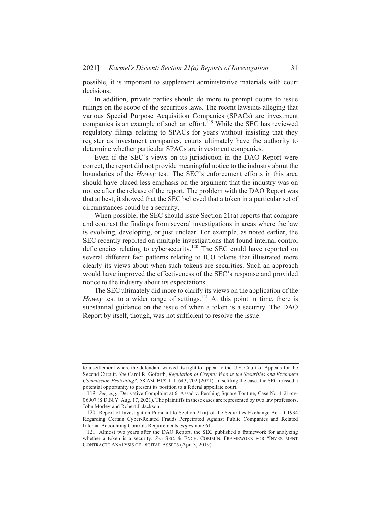possible, it is important to supplement administrative materials with court decisions.

In addition, private parties should do more to prompt courts to issue rulings on the scope of the securities laws. The recent lawsuits alleging that various Special Purpose Acquisition Companies (SPACs) are investment companies is an example of such an effort.<sup>119</sup> While the SEC has reviewed regulatory filings relating to SPACs for years without insisting that they register as investment companies, courts ultimately have the authority to determine whether particular SPACs are investment companies.

Even if the SEC's views on its jurisdiction in the DAO Report were correct, the report did not provide meaningful notice to the industry about the boundaries of the *Howey* test. The SEC's enforcement efforts in this area should have placed less emphasis on the argument that the industry was on notice after the release of the report. The problem with the DAO Report was that at best, it showed that the SEC believed that a token in a particular set of circumstances could be a security.

When possible, the SEC should issue Section  $21(a)$  reports that compare and contrast the findings from several investigations in areas where the law is evolving, developing, or just unclear. For example, as noted earlier, the SEC recently reported on multiple investigations that found internal control deficiencies relating to cybersecurity.<sup>120</sup> The SEC could have reported on several different fact patterns relating to ICO tokens that illustrated more clearly its views about when such tokens are securities. Such an approach would have improved the effectiveness of the SEC's response and provided notice to the industry about its expectations.

The SEC ultimately did more to clarify its views on the application of the *Howey* test to a wider range of settings.<sup>121</sup> At this point in time, there is substantial guidance on the issue of when a token is a security. The DAO Report by itself, though, was not sufficient to resolve the issue.

to a settlement where the defendant waived its right to appeal to the U.S. Court of Appeals for the Second Circuit. See Carol R. Goforth, Regulation of Crypto: Who is the Securities and Exchange Commission Protecting?, 58 AM. BUS. L.J. 643, 702 (2021). In settling the case, the SEC missed a potential opportunity to present its position to a federal appellate court.

<sup>119.</sup> See, e.g., Derivative Complaint at 6, Assad v. Pershing Square Tontine, Case No. 1:21-cv-06907 (S.D.N.Y. Aug. 17, 2021). The plaintiffs in these cases are represented by two law professors, John Morley and Robert J. Jackson.

<sup>120.</sup> Report of Investigation Pursuant to Section 21(a) of the Securities Exchange Act of 1934 Regarding Certain Cyber-Related Frauds Perpetrated Against Public Companies and Related Internal Accounting Controls Requirements, supra note 61.

<sup>121.</sup> Almost two years after the DAO Report, the SEC published a framework for analyzing whether a token is a security. See SEC. & EXCH. COMM'N, FRAMEWORK FOR "INVESTMENT CONTRACT" ANALYSIS OF DIGITAL ASSETS (Apr. 3, 2019).